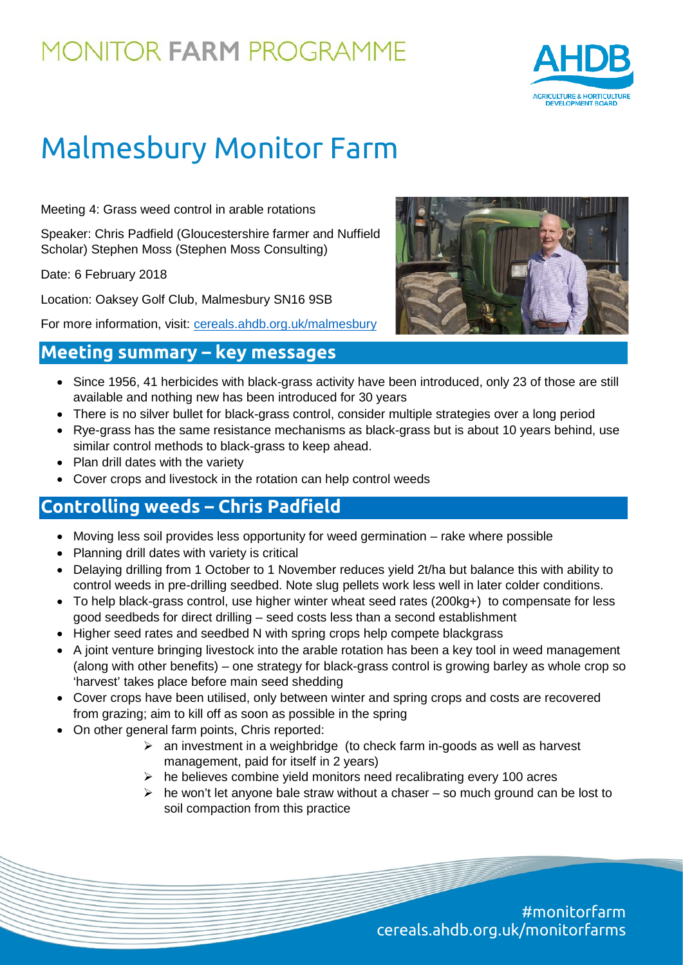## **MONITOR FARM PROGRAMME**



# Malmesbury Monitor Farm

Meeting 4: Grass weed control in arable rotations

Speaker: Chris Padfield (Gloucestershire farmer and Nuffield Scholar) Stephen Moss (Stephen Moss Consulting)

Date: 6 February 2018

Location: Oaksey Golf Club, Malmesbury SN16 9SB

For more information, visit: [cereals.ahdb.org.uk/malmesbury](https://cereals.ahdb.org.uk/malmesbury)



### **Meeting summary – key messages**

- Since 1956, 41 herbicides with black-grass activity have been introduced, only 23 of those are still available and nothing new has been introduced for 30 years
- There is no silver bullet for black-grass control, consider multiple strategies over a long period
- Rye-grass has the same resistance mechanisms as black-grass but is about 10 years behind, use similar control methods to black-grass to keep ahead.
- Plan drill dates with the variety
- Cover crops and livestock in the rotation can help control weeds

#### **Controlling weeds – Chris Padfield**

- Moving less soil provides less opportunity for weed germination rake where possible
- Planning drill dates with variety is critical
- Delaying drilling from 1 October to 1 November reduces yield 2t/ha but balance this with ability to control weeds in pre-drilling seedbed. Note slug pellets work less well in later colder conditions.
- To help black-grass control, use higher winter wheat seed rates (200kg+) to compensate for less good seedbeds for direct drilling – seed costs less than a second establishment
- Higher seed rates and seedbed N with spring crops help compete blackgrass
- A joint venture bringing livestock into the arable rotation has been a key tool in weed management (along with other benefits) – one strategy for black-grass control is growing barley as whole crop so 'harvest' takes place before main seed shedding
- Cover crops have been utilised, only between winter and spring crops and costs are recovered from grazing; aim to kill off as soon as possible in the spring
- On other general farm points, Chris reported:
	- $\triangleright$  an investment in a weighbridge (to check farm in-goods as well as harvest management, paid for itself in 2 years)
	- $\triangleright$  he believes combine yield monitors need recalibrating every 100 acres
	- $\triangleright$  he won't let anyone bale straw without a chaser so much ground can be lost to soil compaction from this practice

#monitorfarm cereals.ahdb.org.uk/monitorfarms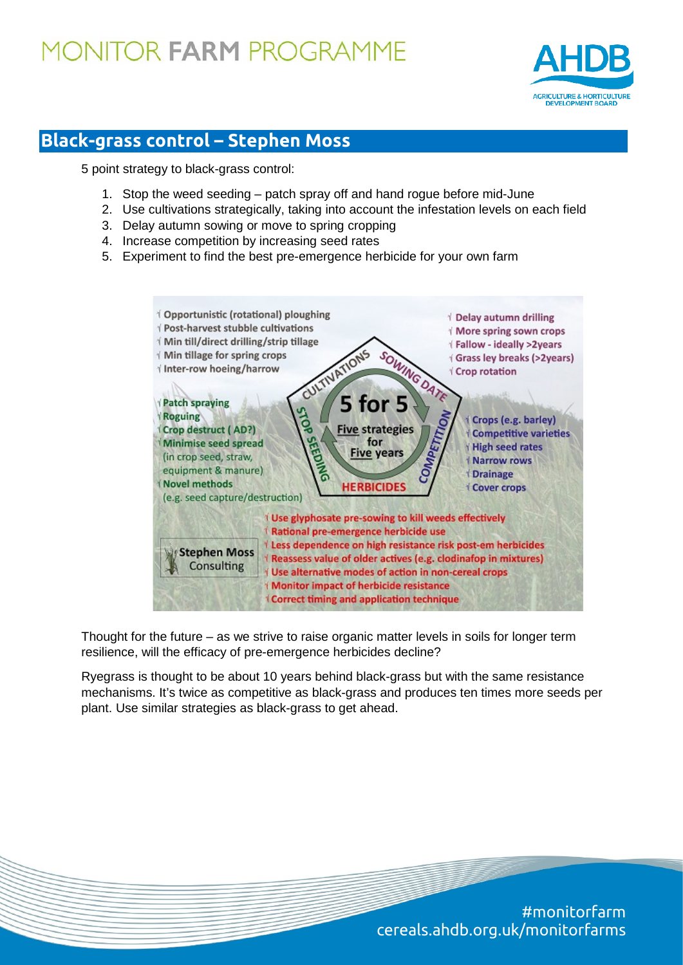## **MONITOR FARM PROGRAMME**



### **Black-grass control – Stephen Moss**

5 point strategy to black-grass control:

- 1. Stop the weed seeding patch spray off and hand rogue before mid-June
- 2. Use cultivations strategically, taking into account the infestation levels on each field
- 3. Delay autumn sowing or move to spring cropping
- 4. Increase competition by increasing seed rates
- 5. Experiment to find the best pre-emergence herbicide for your own farm



Thought for the future – as we strive to raise organic matter levels in soils for longer term resilience, will the efficacy of pre-emergence herbicides decline?

Ryegrass is thought to be about 10 years behind black-grass but with the same resistance mechanisms. It's twice as competitive as black-grass and produces ten times more seeds per plant. Use similar strategies as black-grass to get ahead.

> #monitorfarm cereals.ahdb.org.uk/monitorfarms